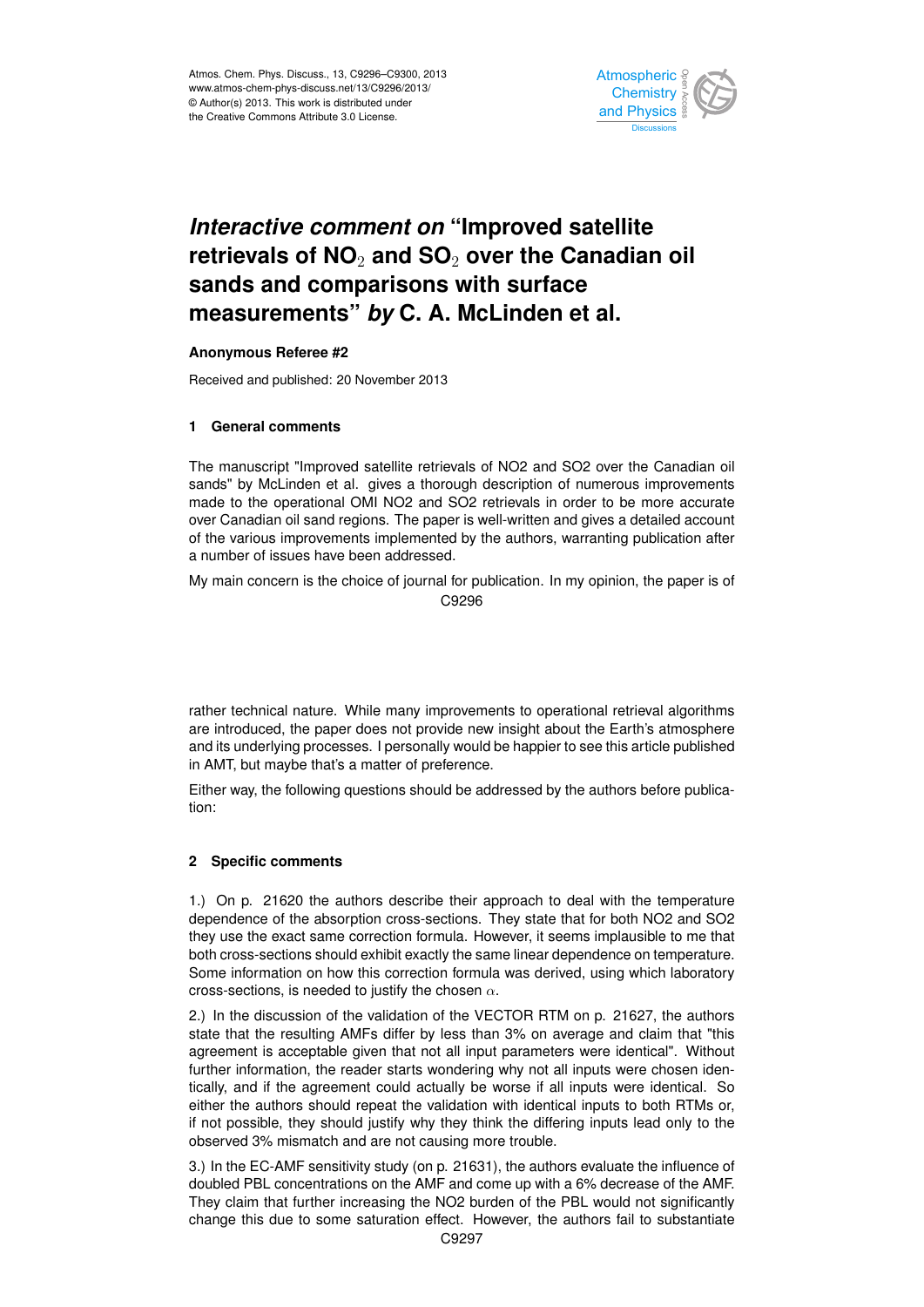

#### *Interactive comment on "Improved satellite* ہ<br>)،  $\mathbf{j}$ retrievals of NO<sub>2</sub> and SO<sub>2</sub> over the Canadian oil  $\sim$ measurements" *by* C. A. McLinden et al.  $\overline{\phantom{a}}$ **sands and comparisons with surface**

## **Anonymous Referee #2**

Received and published: 20 November 2013 Open Access

# **1 General comments**

satellite retri sands" by McLinden et al. gives a thorough description of numerous improvements  $\frac{1}{2}$ The manuscript "Improved satellite retrievals of NO2 and SO2 over the Canadian oil a<br>.. made to the operational OMI NO2 and SO2 retrievals in order to be more accurate over Canadian oil sand regions. The paper is well-written and gives a detailed account of the various improvements implemented by the authors, warranting publication after e<br>C<br>H <sup>3</sup><br>tio a number of issues have been addressed.

My main concern is the choice of journal for publication. In my opinion, the paper is of Earth System i<br>C it<br>. C9296

and its underlying processes. I personally would be happier to see this article published a<br>C<br>e o<br>D rather technical nature. While many improvements to operational retrieval algorithms are introduced, the paper does not provide new insight about the Earth's atmosphere in AMT, but maybe that's a matter of preference.

Either way, the following questions should be addressed by the authors before publication:

### **2 Specific comments**

1.) On p. 21620 the authors describe their approach to deal with the temperature dependence of the absorption cross-sections. They state that for both NO2 and SO2 they use the exact same correction formula. However, it seems implausible to me that both cross-sections should exhibit exactly the same linear dependence on temperature. Some information on how this correction formula was derived, using which laboratory cross-sections, is needed to justify the chosen  $\alpha$ .

2.) In the discussion of the validation of the VECTOR RTM on p. 21627, the authors state that the resulting AMFs differ by less than 3% on average and claim that "this agreement is acceptable given that not all input parameters were identical". Without further information, the reader starts wondering why not all inputs were chosen identically, and if the agreement could actually be worse if all inputs were identical. So either the authors should repeat the validation with identical inputs to both RTMs or, if not possible, they should justify why they think the differing inputs lead only to the observed 3% mismatch and are not causing more trouble.

3.) In the EC-AMF sensitivity study (on p. 21631), the authors evaluate the influence of doubled PBL concentrations on the AMF and come up with a 6% decrease of the AMF. They claim that further increasing the NO2 burden of the PBL would not significantly change this due to some saturation effect. However, the authors fail to substantiate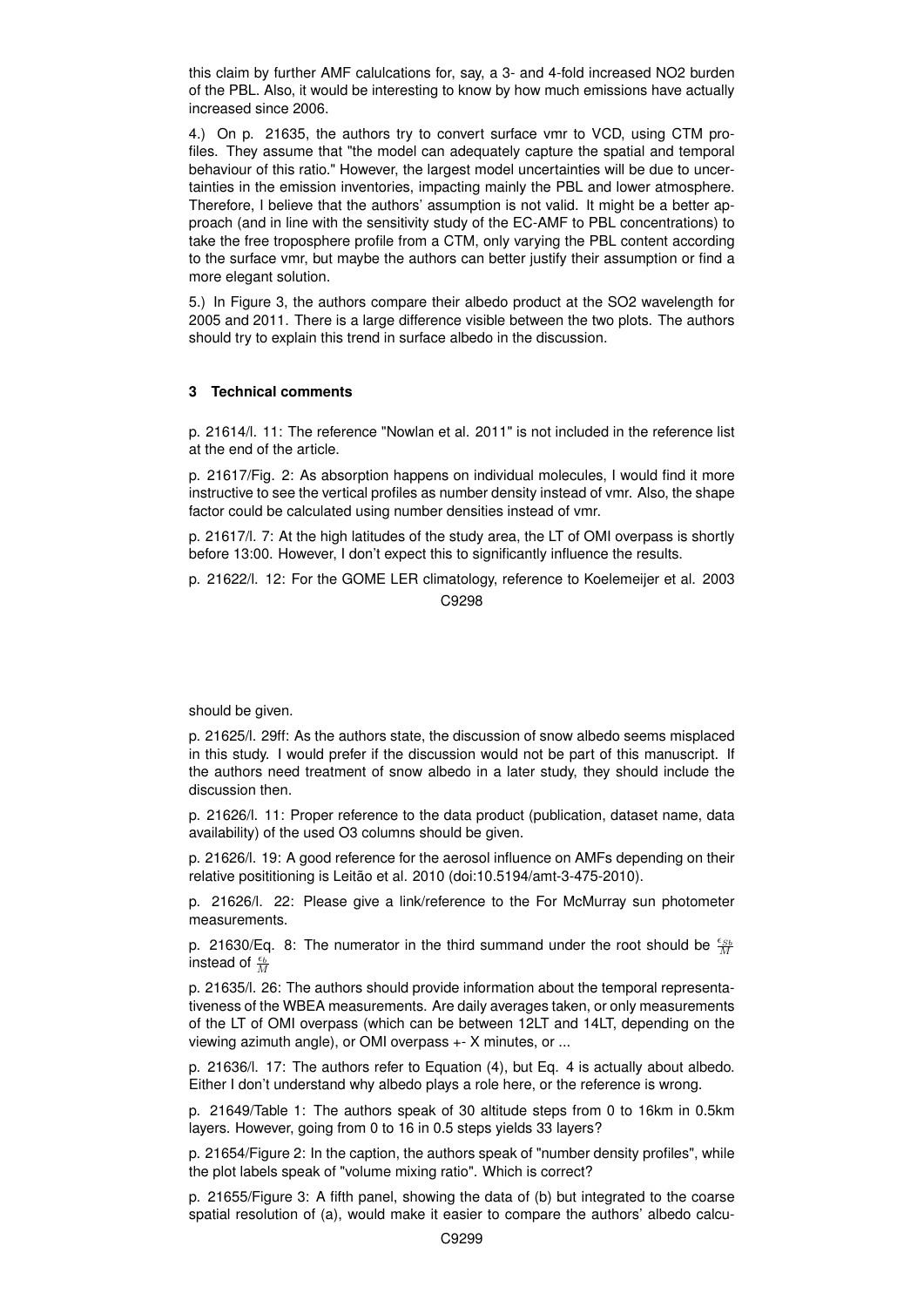this claim by further AMF calulcations for, say, a 3- and 4-fold increased NO2 burden of the PBL. Also, it would be interesting to know by how much emissions have actually increased since 2006.

4.) On p. 21635, the authors try to convert surface vmr to VCD, using CTM profiles. They assume that "the model can adequately capture the spatial and temporal behaviour of this ratio." However, the largest model uncertainties will be due to uncertainties in the emission inventories, impacting mainly the PBL and lower atmosphere. Therefore, I believe that the authors' assumption is not valid. It might be a better approach (and in line with the sensitivity study of the EC-AMF to PBL concentrations) to take the free troposphere profile from a CTM, only varying the PBL content according to the surface vmr, but maybe the authors can better justify their assumption or find a more elegant solution.

5.) In Figure 3, the authors compare their albedo product at the SO2 wavelength for 2005 and 2011. There is a large difference visible between the two plots. The authors should try to explain this trend in surface albedo in the discussion.

### **3 Technical comments**

p. 21614/l. 11: The reference "Nowlan et al. 2011" is not included in the reference list at the end of the article.

p. 21617/Fig. 2: As absorption happens on individual molecules, I would find it more instructive to see the vertical profiles as number density instead of vmr. Also, the shape factor could be calculated using number densities instead of vmr.

p. 21617/l. 7: At the high latitudes of the study area, the LT of OMI overpass is shortly before 13:00. However, I don't expect this to significantly influence the results.

p. 21622/l. 12: For the GOME LER climatology, reference to Koelemeijer et al. 2003 C9298

should be given.

p. 21625/l. 29ff: As the authors state, the discussion of snow albedo seems misplaced in this study. I would prefer if the discussion would not be part of this manuscript. If the authors need treatment of snow albedo in a later study, they should include the discussion then.

p. 21626/l. 11: Proper reference to the data product (publication, dataset name, data availability) of the used O3 columns should be given.

p. 21626/l. 19: A good reference for the aerosol influence on AMFs depending on their relative posititioning is Leitão et al. 2010 (doi:10.5194/amt-3-475-2010).

p. 21626/l. 22: Please give a link/reference to the For McMurray sun photometer measurements.

p. 21630/Eq. 8: The numerator in the third summand under the root should be  $\frac{\epsilon_{Sb}}{2}$ instead of  $\frac{\epsilon_b}{M}$ 

p. 21635/l. 26: The authors should provide information about the temporal representativeness of the WBEA measurements. Are daily averages taken, or only measurements of the LT of OMI overpass (which can be between 12LT and 14LT, depending on the viewing azimuth angle), or OMI overpass +- X minutes, or ...

p. 21636/l. 17: The authors refer to Equation (4), but Eq. 4 is actually about albedo. Either I don't understand why albedo plays a role here, or the reference is wrong.

p. 21649/Table 1: The authors speak of 30 altitude steps from 0 to 16km in 0.5km layers. However, going from 0 to 16 in 0.5 steps yields 33 layers?

p. 21654/Figure 2: In the caption, the authors speak of "number density profiles", while the plot labels speak of "volume mixing ratio". Which is correct?

p. 21655/Figure 3: A fifth panel, showing the data of (b) but integrated to the coarse spatial resolution of (a), would make it easier to compare the authors' albedo calcu